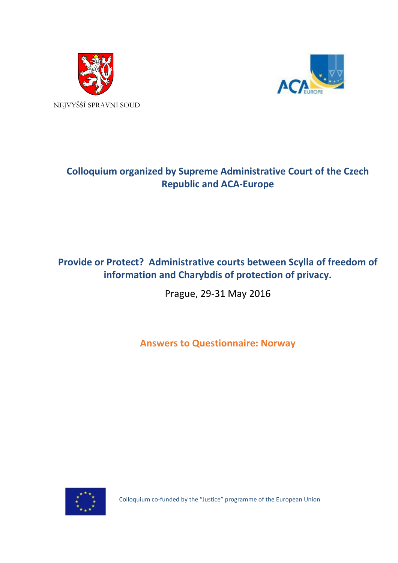



# **Colloquium organized by Supreme Administrative Court of the Czech Republic and ACA-Europe**

# **Provide or Protect? Administrative courts between Scylla of freedom of information and Charybdis of protection of privacy.**

Prague, 29-31 May 2016

**Answers to Questionnaire: Norway**



Colloquium co-funded by the "Justice" programme of the European Union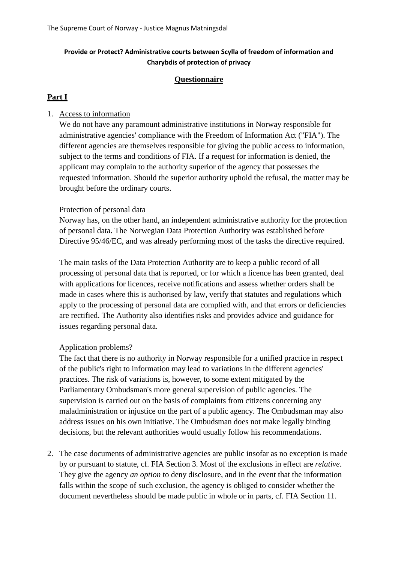## **Provide or Protect? Administrative courts between Scylla of freedom of information and Charybdis of protection of privacy**

#### **Questionnaire**

## **Part I**

### 1. Access to information

We do not have any paramount administrative institutions in Norway responsible for administrative agencies' compliance with the Freedom of Information Act ("FIA"). The different agencies are themselves responsible for giving the public access to information, subject to the terms and conditions of FIA. If a request for information is denied, the applicant may complain to the authority superior of the agency that possesses the requested information. Should the superior authority uphold the refusal, the matter may be brought before the ordinary courts.

#### Protection of personal data

Norway has, on the other hand, an independent administrative authority for the protection of personal data. The Norwegian Data Protection Authority was established before Directive 95/46/EC, and was already performing most of the tasks the directive required.

The main tasks of the Data Protection Authority are to keep a public record of all processing of personal data that is reported, or for which a licence has been granted, deal with applications for licences, receive notifications and assess whether orders shall be made in cases where this is authorised by law, verify that statutes and regulations which apply to the processing of personal data are complied with, and that errors or deficiencies are rectified. The Authority also identifies risks and provides advice and guidance for issues regarding personal data.

#### Application problems?

The fact that there is no authority in Norway responsible for a unified practice in respect of the public's right to information may lead to variations in the different agencies' practices. The risk of variations is, however, to some extent mitigated by the Parliamentary Ombudsman's more general supervision of public agencies. The supervision is carried out on the basis of complaints from citizens concerning any maladministration or injustice on the part of a public agency. The Ombudsman may also address issues on his own initiative. The Ombudsman does not make legally binding decisions, but the relevant authorities would usually follow his recommendations.

2. The case documents of administrative agencies are public insofar as no exception is made by or pursuant to statute, cf. FIA Section 3. Most of the exclusions in effect are *relative*. They give the agency *an option* to deny disclosure, and in the event that the information falls within the scope of such exclusion, the agency is obliged to consider whether the document nevertheless should be made public in whole or in parts, cf. FIA Section 11.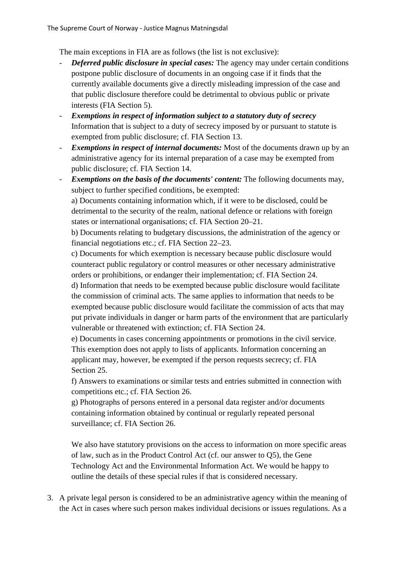The main exceptions in FIA are as follows (the list is not exclusive):

- *Deferred public disclosure in special cases:* The agency may under certain conditions postpone public disclosure of documents in an ongoing case if it finds that the currently available documents give a directly misleading impression of the case and that public disclosure therefore could be detrimental to obvious public or private interests (FIA Section 5).
- *Exemptions in respect of information subject to a statutory duty of secrecy* Information that is subject to a duty of secrecy imposed by or pursuant to statute is exempted from public disclosure; cf. FIA Section 13.
- *Exemptions in respect of internal documents:* Most of the documents drawn up by an administrative agency for its internal preparation of a case may be exempted from public disclosure; cf. FIA Section 14.
- *Exemptions on the basis of the documents' content:* The following documents may, subject to further specified conditions, be exempted:

a) Documents containing information which, if it were to be disclosed, could be detrimental to the security of the realm, national defence or relations with foreign states or international organisations; cf. FIA Section 20–21.

b) Documents relating to budgetary discussions, the administration of the agency or financial negotiations etc.; cf. FIA Section 22–23.

c) Documents for which exemption is necessary because public disclosure would counteract public regulatory or control measures or other necessary administrative orders or prohibitions, or endanger their implementation; cf. FIA Section 24.

d) Information that needs to be exempted because public disclosure would facilitate the commission of criminal acts. The same applies to information that needs to be exempted because public disclosure would facilitate the commission of acts that may put private individuals in danger or harm parts of the environment that are particularly vulnerable or threatened with extinction; cf. FIA Section 24.

e) Documents in cases concerning appointments or promotions in the civil service. This exemption does not apply to lists of applicants. Information concerning an applicant may, however, be exempted if the person requests secrecy; cf. FIA Section 25.

f) Answers to examinations or similar tests and entries submitted in connection with competitions etc.; cf. FIA Section 26.

g) Photographs of persons entered in a personal data register and/or documents containing information obtained by continual or regularly repeated personal surveillance; cf. FIA Section 26.

We also have statutory provisions on the access to information on more specific areas of law, such as in the Product Control Act (cf. our answer to Q5), the Gene Technology Act and the Environmental Information Act. We would be happy to outline the details of these special rules if that is considered necessary.

3. A private legal person is considered to be an administrative agency within the meaning of the Act in cases where such person makes individual decisions or issues regulations. As a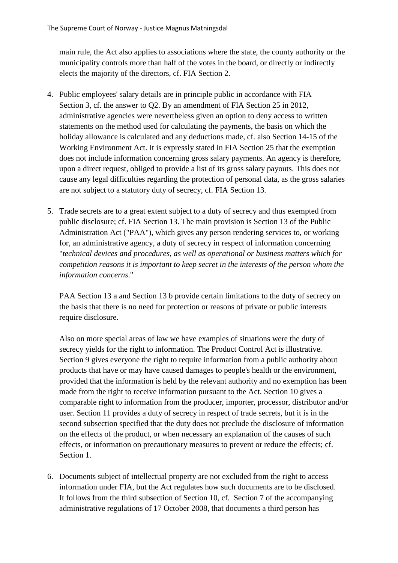main rule, the Act also applies to associations where the state, the county authority or the municipality controls more than half of the votes in the board, or directly or indirectly elects the majority of the directors, cf. FIA Section 2.

- 4. Public employees' salary details are in principle public in accordance with FIA Section 3, cf. the answer to Q2. By an amendment of FIA Section 25 in 2012, administrative agencies were nevertheless given an option to deny access to written statements on the method used for calculating the payments, the basis on which the holiday allowance is calculated and any deductions made, cf. also Section 14-15 of the Working Environment Act. It is expressly stated in FIA Section 25 that the exemption does not include information concerning gross salary payments. An agency is therefore, upon a direct request, obliged to provide a list of its gross salary payouts. This does not cause any legal difficulties regarding the protection of personal data, as the gross salaries are not subject to a statutory duty of secrecy, cf. FIA Section 13.
- 5. Trade secrets are to a great extent subject to a duty of secrecy and thus exempted from public disclosure; cf. FIA Section 13. The main provision is Section 13 of the Public Administration Act ("PAA"), which gives any person rendering services to, or working for, an administrative agency, a duty of secrecy in respect of information concerning "*technical devices and procedures, as well as operational or business matters which for competition reasons it is important to keep secret in the interests of the person whom the information concerns*."

PAA Section 13 a and Section 13 b provide certain limitations to the duty of secrecy on the basis that there is no need for protection or reasons of private or public interests require disclosure.

Also on more special areas of law we have examples of situations were the duty of secrecy yields for the right to information. The Product Control Act is illustrative. Section 9 gives everyone the right to require information from a public authority about products that have or may have caused damages to people's health or the environment, provided that the information is held by the relevant authority and no exemption has been made from the right to receive information pursuant to the Act. Section 10 gives a comparable right to information from the producer, importer, processor, distributor and/or user. Section 11 provides a duty of secrecy in respect of trade secrets, but it is in the second subsection specified that the duty does not preclude the disclosure of information on the effects of the product, or when necessary an explanation of the causes of such effects, or information on precautionary measures to prevent or reduce the effects; cf. Section 1.

6. Documents subject of intellectual property are not excluded from the right to access information under FIA, but the Act regulates how such documents are to be disclosed. It follows from the third subsection of Section 10, cf. Section 7 of the accompanying administrative regulations of 17 October 2008, that documents a third person has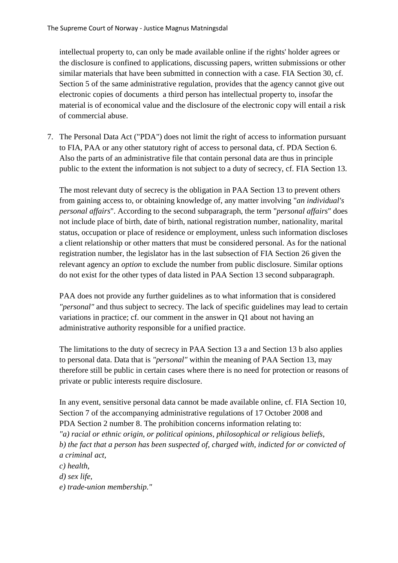intellectual property to, can only be made available online if the rights' holder agrees or the disclosure is confined to applications, discussing papers, written submissions or other similar materials that have been submitted in connection with a case. FIA Section 30, cf. Section 5 of the same administrative regulation, provides that the agency cannot give out electronic copies of documents a third person has intellectual property to, insofar the material is of economical value and the disclosure of the electronic copy will entail a risk of commercial abuse.

7. The Personal Data Act ("PDA") does not limit the right of access to information pursuant to FIA, PAA or any other statutory right of access to personal data, cf. PDA Section 6. Also the parts of an administrative file that contain personal data are thus in principle public to the extent the information is not subject to a duty of secrecy, cf. FIA Section 13.

The most relevant duty of secrecy is the obligation in PAA Section 13 to prevent others from gaining access to, or obtaining knowledge of, any matter involving "*an individual's personal affairs*". According to the second subparagraph, the term "*personal affairs*" does not include place of birth, date of birth, national registration number, nationality, marital status, occupation or place of residence or employment, unless such information discloses a client relationship or other matters that must be considered personal. As for the national registration number, the legislator has in the last subsection of FIA Section 26 given the relevant agency an *option* to exclude the number from public disclosure. Similar options do not exist for the other types of data listed in PAA Section 13 second subparagraph.

PAA does not provide any further guidelines as to what information that is considered *"personal"* and thus subject to secrecy. The lack of specific guidelines may lead to certain variations in practice; cf. our comment in the answer in Q1 about not having an administrative authority responsible for a unified practice.

The limitations to the duty of secrecy in PAA Section 13 a and Section 13 b also applies to personal data. Data that is *"personal"* within the meaning of PAA Section 13, may therefore still be public in certain cases where there is no need for protection or reasons of private or public interests require disclosure.

In any event, sensitive personal data cannot be made available online, cf. FIA Section 10, Section 7 of the accompanying administrative regulations of 17 October 2008 and PDA Section 2 number 8. The prohibition concerns information relating to: *"a) racial or ethnic origin, or political opinions, philosophical or religious beliefs, b) the fact that a person has been suspected of, charged with, indicted for or convicted of a criminal act, c) health,*

*d) sex life,*

*e) trade-union membership."*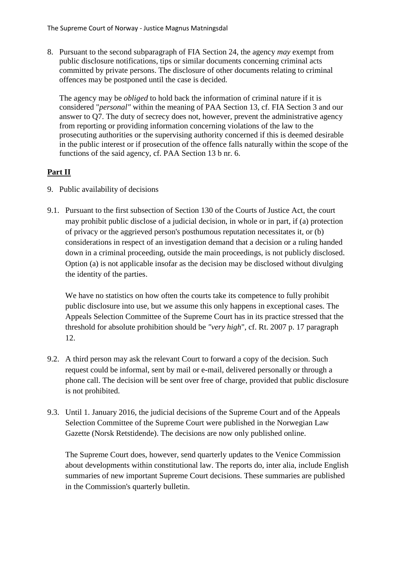8. Pursuant to the second subparagraph of FIA Section 24, the agency *may* exempt from public disclosure notifications, tips or similar documents concerning criminal acts committed by private persons. The disclosure of other documents relating to criminal offences may be postponed until the case is decided.

The agency may be *obliged* to hold back the information of criminal nature if it is considered "*personal"* within the meaning of PAA Section 13, cf. FIA Section 3 and our answer to Q7. The duty of secrecy does not, however, prevent the administrative agency from reporting or providing information concerning violations of the law to the prosecuting authorities or the supervising authority concerned if this is deemed desirable in the public interest or if prosecution of the offence falls naturally within the scope of the functions of the said agency, cf. PAA Section 13 b nr. 6.

# **Part II**

- 9. Public availability of decisions
- 9.1. Pursuant to the first subsection of Section 130 of the Courts of Justice Act, the court may prohibit public disclose of a judicial decision, in whole or in part, if (a) protection of privacy or the aggrieved person's posthumous reputation necessitates it, or (b) considerations in respect of an investigation demand that a decision or a ruling handed down in a criminal proceeding, outside the main proceedings, is not publicly disclosed. Option (a) is not applicable insofar as the decision may be disclosed without divulging the identity of the parties.

We have no statistics on how often the courts take its competence to fully prohibit public disclosure into use, but we assume this only happens in exceptional cases. The Appeals Selection Committee of the Supreme Court has in its practice stressed that the threshold for absolute prohibition should be *"very high*", cf. Rt. 2007 p. 17 paragraph 12.

- 9.2. A third person may ask the relevant Court to forward a copy of the decision. Such request could be informal, sent by mail or e-mail, delivered personally or through a phone call. The decision will be sent over free of charge, provided that public disclosure is not prohibited.
- 9.3. Until 1. January 2016, the judicial decisions of the Supreme Court and of the Appeals Selection Committee of the Supreme Court were published in the Norwegian Law Gazette (Norsk Retstidende). The decisions are now only published online.

The Supreme Court does, however, send quarterly updates to the Venice Commission about developments within constitutional law. The reports do, inter alia, include English summaries of new important Supreme Court decisions. These summaries are published in the Commission's quarterly bulletin.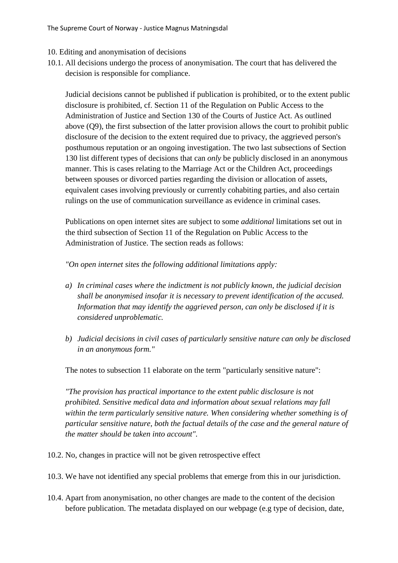The Supreme Court of Norway - Justice Magnus Matningsdal

- 10. Editing and anonymisation of decisions
- 10.1. All decisions undergo the process of anonymisation. The court that has delivered the decision is responsible for compliance.

Judicial decisions cannot be published if publication is prohibited, or to the extent public disclosure is prohibited, cf. Section 11 of the Regulation on Public Access to the Administration of Justice and Section 130 of the Courts of Justice Act. As outlined above (Q9), the first subsection of the latter provision allows the court to prohibit public disclosure of the decision to the extent required due to privacy, the aggrieved person's posthumous reputation or an ongoing investigation. The two last subsections of Section 130 list different types of decisions that can *only* be publicly disclosed in an anonymous manner. This is cases relating to the Marriage Act or the Children Act, proceedings between spouses or divorced parties regarding the division or allocation of assets, equivalent cases involving previously or currently cohabiting parties, and also certain rulings on the use of communication surveillance as evidence in criminal cases.

Publications on open internet sites are subject to some *additional* limitations set out in the third subsection of Section 11 of the Regulation on Public Access to the Administration of Justice. The section reads as follows:

*"On open internet sites the following additional limitations apply:*

- *a) In criminal cases where the indictment is not publicly known, the judicial decision shall be anonymised insofar it is necessary to prevent identification of the accused. Information that may identify the aggrieved person, can only be disclosed if it is considered unproblematic.*
- *b) Judicial decisions in civil cases of particularly sensitive nature can only be disclosed in an anonymous form."*

The notes to subsection 11 elaborate on the term "particularly sensitive nature":

*"The provision has practical importance to the extent public disclosure is not prohibited. Sensitive medical data and information about sexual relations may fall within the term particularly sensitive nature. When considering whether something is of particular sensitive nature, both the factual details of the case and the general nature of the matter should be taken into account".*

- 10.2. No, changes in practice will not be given retrospective effect
- 10.3. We have not identified any special problems that emerge from this in our jurisdiction.
- 10.4. Apart from anonymisation, no other changes are made to the content of the decision before publication. The metadata displayed on our webpage (e.g type of decision, date,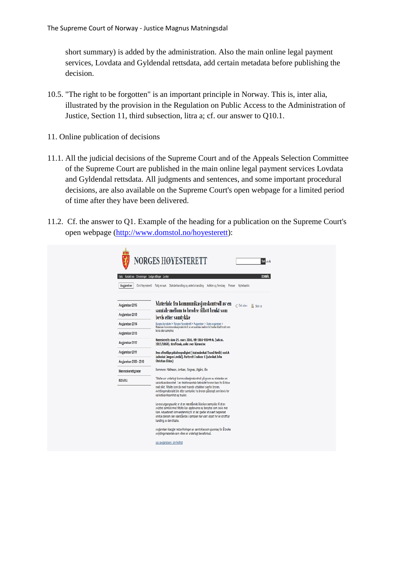short summary) is added by the administration. Also the main online legal payment services, Lovdata and Gyldendal rettsdata, add certain metadata before publishing the decision.

- 10.5. "The right to be forgotten" is an important principle in Norway. This is, inter alia, illustrated by the provision in the Regulation on Public Access to the Administration of Justice, Section 11, third subsection, litra a; cf. our answer to Q10.1.
- 11. Online publication of decisions
- 11.1. All the judicial decisions of the Supreme Court and of the Appeals Selection Committee of the Supreme Court are published in the main online legal payment services Lovdata and Gyldendal rettsdata. All judgments and sentences, and some important procedural decisions, are also available on the Supreme Court's open webpage for a limited period of time after they have been delivered.
- 11.2. Cf. the answer to Q1. Example of the heading for a publication on the Supreme Court's open webpage [\(http://www.domstol.no/hoyesterett\)](http://www.domstol.no/hoyesterett):

| Kontakt oss Omvisninger Ledige stillinger Lenker | <b>BOKMAL</b>                                                                                                                                                                                                                                                                                                                           |
|--------------------------------------------------|-----------------------------------------------------------------------------------------------------------------------------------------------------------------------------------------------------------------------------------------------------------------------------------------------------------------------------------------|
| Avgjørelser                                      | Om Høyesterett Følg en sak Saksbehandling og ankeforhandling Artikler og foredrag Presse Nyhetsarkiv                                                                                                                                                                                                                                    |
| Avaigrelser 2016                                 | Materiale fra kommunikasjonskontroll av en<br>2 Del siden<br><b>高 Skriv ut</b>                                                                                                                                                                                                                                                          |
| Avaigreiser 2015                                 | samtale mellom to brødre tillatt brukt som<br>bevis etter samtykke                                                                                                                                                                                                                                                                      |
| Avgjørelser 2014                                 | Norges domstoler > Norges Høyesterett > Avgjørelser > Siste avgjørelser >                                                                                                                                                                                                                                                               |
| Avglørelser 2013                                 | Materiale fra kommunikasjonskontroll av en samtale mellom to brødre tillatt brukt som<br>bevis etter samtykke                                                                                                                                                                                                                           |
| Avgjørelser 2012                                 | Høyesteretts dom 29. mars 2016, HR-2016-00644-A, (sak nr.<br>2015/1868), straffesak, anke over kjennelse                                                                                                                                                                                                                                |
| Avgiorelser 2011                                 | Den offentlige påtalennyndighet (statsadvokat Trond Høvik) mot A<br>(advokat Jørgen Løvdal), Partsrett i saken: C (advokat John                                                                                                                                                                                                         |
| Avgjørelser 2000 - 2010                          | <b>Christian Elden)</b>                                                                                                                                                                                                                                                                                                                 |
| Menneskerettigheter                              | Dommere: Matheson, Arritzen, Ringnes, Utgård, Øie                                                                                                                                                                                                                                                                                       |
| <b>EØS/EU</b>                                    | Tiltalte var underlagt kommunikasjonskontroll på grunn av mistarke om<br>narkotikavirksomhet. I en telefonsamtale bebreidet broren ham for å drive<br>med slikt. Tiltalte kom da med truende uttalelser overfor broren.<br>Avlyttingsmaterialet ble etter samtykke fra broren påberopt som bevis for<br>narkotikavirksomhet og trusler. |
|                                                  | Lovens utgangspunkt er at en nærstående ikke kan samtykke til at en<br>avlyttet samtale med tiltalte kan oppbevares og benyttes som bevis mot<br>ham. Høyesterett kom enstemmig til at det gjelder et svært begrenset<br>unntak dersom den nærstående i samtalen har vært utsatt for en straffbar<br>handling av den tiltalte.          |
|                                                  | Avgjørelsen klargjør rettsvirkningen av samtykke som grunnlag for å bruke<br>avlyttingsmateriale som ellers er underlagt bevisforbud.                                                                                                                                                                                                   |
|                                                  | Les avgjørelsen i sin helhet                                                                                                                                                                                                                                                                                                            |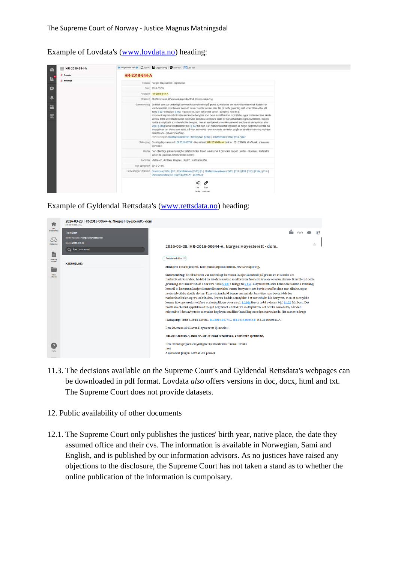Example of Lovdata's [\(www.lovdata.no\)](http://www.lovdata.no/) heading:

| HR-2016-644-A<br>n   |                           | P tempereste tert + Q Sak + Q Legg Sixtysig C Skriv at + P Last ned                                                                                                                                                                                                                                                                                                                                                                                                                                                                                                                                                                                                                                                                        |  |
|----------------------|---------------------------|--------------------------------------------------------------------------------------------------------------------------------------------------------------------------------------------------------------------------------------------------------------------------------------------------------------------------------------------------------------------------------------------------------------------------------------------------------------------------------------------------------------------------------------------------------------------------------------------------------------------------------------------------------------------------------------------------------------------------------------------|--|
| <b>Premiss</b>       | HR-2016-644-A             |                                                                                                                                                                                                                                                                                                                                                                                                                                                                                                                                                                                                                                                                                                                                            |  |
| 肚<br><b>Slutning</b> |                           | Instans Norges Hayesterett - Kjennelse                                                                                                                                                                                                                                                                                                                                                                                                                                                                                                                                                                                                                                                                                                     |  |
| $\circ$              |                           | Dato 2016-03-29                                                                                                                                                                                                                                                                                                                                                                                                                                                                                                                                                                                                                                                                                                                            |  |
|                      |                           | Publisert HR-2016-644-A                                                                                                                                                                                                                                                                                                                                                                                                                                                                                                                                                                                                                                                                                                                    |  |
| 鳰                    |                           | Stikkord Straffeprosess Kommunikasjonskontroll Bevisavskjæring.                                                                                                                                                                                                                                                                                                                                                                                                                                                                                                                                                                                                                                                                            |  |
| $\ddot{a}$           |                           | Sammendrag En tiltalt som var underlagt kommunikasjonskontroll på grunn av mistanke om narkotikavirksomhet, hadde i en<br>felefonsamtale med broren fremsatt trusler overfor denne. Han ble på dette grunnlag satt under tiltale etter stri.<br>1902 § 227 i tillegg til § 162. Høyesterett, som behandlet saken i avdeling, kom til at                                                                                                                                                                                                                                                                                                                                                                                                    |  |
| 云                    |                           | kommunikasjonskontrollmaterialet kunne benyttes som bevis i straffesaken mot tiltalte, og at materialet ikke skulle<br>siettes. Etter sitt innhold kunne materialet benyttes som bevis både for narkotikatiltalen og trussettitalen. Broren<br>hadde samtykket i at materialet ble benyttet, men et samtykke kunne ikke generelt medføre at sletteplikten etter<br>strpl. § 216g første ledd bokstav b jf. § 122 fall bort. Det måtte imidlertid oppstilles et megel begrenset unntak fra<br>sletteplikten i et tilfelle som dette, når den mistenkte i den avlyttede samtalen begår en straffbar handling mot den<br>nærstående. (Rt-sammendrag)<br>Henvisninger: Straffeprosessloven (1981) §122, §216g   Straffeloven (1902) §162, §227 |  |
|                      |                           | Saksgang Gulating lagmannsrett LG-2015-57757 - Høyesterett HR-2016-644-A, (sak nr. 2015/1868), straffesak, anke over<br>kjennelse.                                                                                                                                                                                                                                                                                                                                                                                                                                                                                                                                                                                                         |  |
|                      |                           | Parter Den offentlige påtalemyndighet (statsadvokat Trond Havik) mot A (advokat Jørgen Løvdal - til prøve). Partsrett i<br>saken: B (advokat John Christian Elden).                                                                                                                                                                                                                                                                                                                                                                                                                                                                                                                                                                        |  |
|                      |                           | Fortatter. Matheson, Arntzen, Ringnes, Utgård, Justitianus Øie.                                                                                                                                                                                                                                                                                                                                                                                                                                                                                                                                                                                                                                                                            |  |
|                      | Sist oppdatent 2016-04-05 |                                                                                                                                                                                                                                                                                                                                                                                                                                                                                                                                                                                                                                                                                                                                            |  |
|                      |                           | Henvisninger i teksten Grunnlova (1814) §97   Domstolloven (1915) §5   Straffeprosessloven (1981) §117, §120, §123, §216, §216)  <br>Menneskereftsloven (1999) EMKN A1, EMKN A8                                                                                                                                                                                                                                                                                                                                                                                                                                                                                                                                                            |  |
|                      |                           | ൙<br>Starty<br>lenke merknad                                                                                                                                                                                                                                                                                                                                                                                                                                                                                                                                                                                                                                                                                                               |  |

Example of Gyldendal Rettsdata's [\(www.rettsdata.no\)](http://www.rettsdata.no/) heading:

| п                        | 2016-03-29. HR-2016-00644-A. Norges Høyesterett - dom<br>HR-2016-00844-A |                                                                                                                                                                                                                                                                                                                                                                                                                                                                                                                                                                                                                                                                                                                                                                                                                                                                                                                                                                                                |
|--------------------------|--------------------------------------------------------------------------|------------------------------------------------------------------------------------------------------------------------------------------------------------------------------------------------------------------------------------------------------------------------------------------------------------------------------------------------------------------------------------------------------------------------------------------------------------------------------------------------------------------------------------------------------------------------------------------------------------------------------------------------------------------------------------------------------------------------------------------------------------------------------------------------------------------------------------------------------------------------------------------------------------------------------------------------------------------------------------------------|
| arbeidsfate<br>Δ'Δ       | Type: Dom<br>Rettsinstans: Norges Høyesterett                            |                                                                                                                                                                                                                                                                                                                                                                                                                                                                                                                                                                                                                                                                                                                                                                                                                                                                                                                                                                                                |
| Rettaklider              | Dato: 2016-03-29<br>Q Sek i dokument                                     | 2016-03-29. HR-2016-00644-A. Norges Høyesterett - dom.                                                                                                                                                                                                                                                                                                                                                                                                                                                                                                                                                                                                                                                                                                                                                                                                                                                                                                                                         |
| B<br>Maler og<br>verktoy | <b>KJENNELSE:</b>                                                        | Relaterte kilder                                                                                                                                                                                                                                                                                                                                                                                                                                                                                                                                                                                                                                                                                                                                                                                                                                                                                                                                                                               |
|                          |                                                                          | Stikkord: Straffeprosess. Kommunikasjonskontroll. Bevisavskjæring.                                                                                                                                                                                                                                                                                                                                                                                                                                                                                                                                                                                                                                                                                                                                                                                                                                                                                                                             |
| arbeider                 |                                                                          | Sammendrag: En tiltalt som var underlagt kommunikasjonskontroll på grunn av mistanke om<br>narkotikavirksomhet, hadde i en telefonsamtale med broren fremsatt trusler overfor denne. Han ble på dette<br>grunnlag satt under tiltale etter strl. 1902 § 227 i tillegg til § 162. Høyesterett, som behandlet saken i avdeling,<br>kom til at kommunikasjonskontrollmaterialet kunne benyttes som bevis i straffesaken mot tiltalte, og at<br>materialet ikke skulle slettes. Etter sitt innhold kunne materialet benyttes som bevis både for<br>narkotikatiltalen og trusseltiltalen. Broren hadde samtykket i at materialet ble benyttet, men et samtykke<br>kunne ikke generelt medføre at sletteplikten etter strpl. § 216g første ledd bokstav b jf. § 122 falt bort. Det<br>måtte imidlertid oppstilles et meget begrenset unntak fra sletteplikten i et tilfelle som dette, når den<br>mistenkte i den avlyttede samtalen begår en straffbar handling mot den nærstående. (Rt-sammendrag) |
|                          |                                                                          | [Saksgang: TBBYR-2014-139060, LG-2015-057757, HR-2015-02093-F, HR-2016-00644-A.]                                                                                                                                                                                                                                                                                                                                                                                                                                                                                                                                                                                                                                                                                                                                                                                                                                                                                                               |
|                          |                                                                          | Den 29. mars 2016 avsa Høyesterett kjennelse i                                                                                                                                                                                                                                                                                                                                                                                                                                                                                                                                                                                                                                                                                                                                                                                                                                                                                                                                                 |
|                          |                                                                          | HR-2016-00644-A, (sak nr. 2015/1868), straffesak, anke over kjennelse,                                                                                                                                                                                                                                                                                                                                                                                                                                                                                                                                                                                                                                                                                                                                                                                                                                                                                                                         |
|                          |                                                                          | Den offentlige påtalemyndighet (statsadvokat Trond Høvik)<br>mot<br>A (advokat Jørgen Løvdal - til prøve)                                                                                                                                                                                                                                                                                                                                                                                                                                                                                                                                                                                                                                                                                                                                                                                                                                                                                      |

- 11.3. The decisions available on the Supreme Court's and Gyldendal Rettsdata's webpages can be downloaded in pdf format. Lovdata *also* offers versions in doc, docx, html and txt. The Supreme Court does not provide datasets.
- 12. Public availability of other documents
- 12.1. The Supreme Court only publishes the justices' birth year, native place, the date they assumed office and their cvs. The information is available in Norwegian, Sami and English, and is published by our information advisors. As no justices have raised any objections to the disclosure, the Supreme Court has not taken a stand as to whether the online publication of the information is cumpolsary.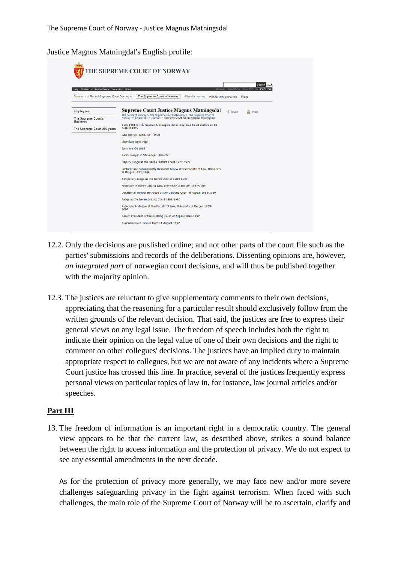Justice Magnus Matningdal's English profile:

| Contact us Guided tours Vacancies Links<br><b>Help</b> | Search AAA<br>SÁMEGIELLA ENGLISH<br><b>BOKMAL</b><br><b>NYNORSK</b>                                                                                   |  |  |  |
|--------------------------------------------------------|-------------------------------------------------------------------------------------------------------------------------------------------------------|--|--|--|
| Summary of Recent Supreme Court Decisions              | The Supreme Court of Norway<br>Attend a hearing<br>Articles and speeches<br>Press                                                                     |  |  |  |
| <b>Employees</b>                                       | <b>Supreme Court Justice Magnus Matningsdal</b><br><<<<<<<<<<<<<<<<<<<<<<<<br>Print                                                                   |  |  |  |
| <b>The Supreme Court's</b><br><b>Business</b>          | The courts of Norway > The Supreme Court of Norway > The Supreme Court of<br>Norway > Employees > Justices > Supreme Court Justice Magnus Matningsdal |  |  |  |
| The Supreme Court 200 years                            | Born 1951 in Ha, Rogaland. Inaugurated as Supreme Court Justice on 11<br>August 1997                                                                  |  |  |  |
|                                                        | Law degree (cand. jur.) 1976                                                                                                                          |  |  |  |
|                                                        | Licentiata juris 1982                                                                                                                                 |  |  |  |
|                                                        | Juris dr (JD) 1986                                                                                                                                    |  |  |  |
|                                                        | Junior lawyer in Stavanger 1976-77                                                                                                                    |  |  |  |
|                                                        | Deputy Judge at the Jæren District Court 1977-1979                                                                                                    |  |  |  |
|                                                        | Lecturer and subsequently Research Fellow at the Faculty of Law, University<br>of Bergen 1979-1986                                                    |  |  |  |
|                                                        | Temporary Judge at the Jaeren District Court 1980                                                                                                     |  |  |  |
|                                                        | Professor at the Faculty of Law, University of Bergen 1987-1989                                                                                       |  |  |  |
|                                                        | Occasional Temporary Judge at the Gulating Court of Appeal 1988-1989                                                                                  |  |  |  |
|                                                        | Judge at the Jæren District Court 1989-1996                                                                                                           |  |  |  |
|                                                        | Associate Professor at the Faculty of Law, University of Bergen 1989-<br>1997                                                                         |  |  |  |
|                                                        | Senior President of the Gulating Court of Appeal 1996-1997                                                                                            |  |  |  |
|                                                        | Supreme Court Justice from 11 August 1997                                                                                                             |  |  |  |

- 12.2. Only the decisions are puslished online; and not other parts of the court file such as the parties' submissions and records of the deliberations. Dissenting opinions are, however, *an integrated part* of norwegian court decisions, and will thus be published together with the majority opinion.
- 12.3. The justices are reluctant to give supplementary comments to their own decisions, appreciating that the reasoning for a particular result should exclusively follow from the written grounds of the relevant decision. That said, the justices are free to express their general views on any legal issue. The freedom of speech includes both the right to indicate their opinion on the legal value of one of their own decisions and the right to comment on other collegues' decisions. The justices have an implied duty to maintain appropriate respect to collegues, but we are not aware of any incidents where a Supreme Court justice has crossed this line. In practice, several of the justices frequently express personal views on particular topics of law in, for instance, law journal articles and/or speeches.

#### **Part III**

13. The freedom of information is an important right in a democratic country. The general view appears to be that the current law, as described above, strikes a sound balance between the right to access information and the protection of privacy. We do not expect to see any essential amendments in the next decade.

As for the protection of privacy more generally, we may face new and/or more severe challenges safeguarding privacy in the fight against terrorism. When faced with such challenges, the main role of the Supreme Court of Norway will be to ascertain, clarify and